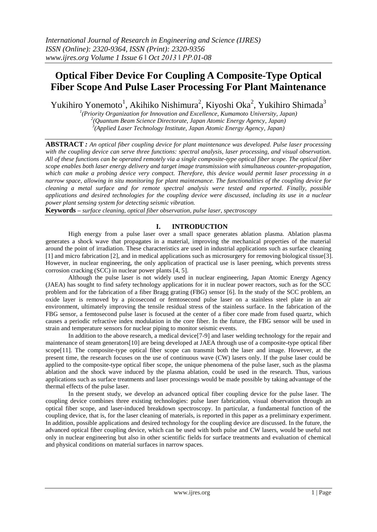# **Optical Fiber Device For Coupling A Composite-Type Optical Fiber Scope And Pulse Laser Processing For Plant Maintenance**

Yukihiro Yonemoto<sup>1</sup>, Akihiko Nishimura<sup>2</sup>, Kiyoshi Oka<sup>2</sup>, Yukihiro Shimada<sup>3</sup>

*1 (Priority Organization for Innovation and Excellence, Kumamoto University, Japan) 2 (Quantum Beam Science Directorate, Japan Atomic Energy Agency, Japan) 3 (Applied Laser Technology Institute, Japan Atomic Energy Agency, Japan)*

**ABSTRACT** *: An optical fiber coupling device for plant maintenance was developed. Pulse laser processing with the coupling device can serve three functions: spectral analysis, laser processing, and visual observation. All of these functions can be operated remotely via a single composite-type optical fiber scope. The optical fiber scope enables both laser energy delivery and target image transmission with simultaneous counter-propagation, which can make a probing device very compact. Therefore, this device would permit laser processing in a narrow space, allowing in situ monitoring for plant maintenance. The functionalities of the coupling device for cleaning a metal surface and for remote spectral analysis were tested and reported. Finally, possible applications and desired technologies for the coupling device were discussed, including its use in a nuclear power plant sensing system for detecting seismic vibration.*

**Keywords** *– surface cleaning, optical fiber observation, pulse laser, spectroscopy*

# **I. INTRODUCTION**

High energy from a pulse laser over a small space generates ablation plasma. Ablation plasma generates a shock wave that propagates in a material, improving the mechanical properties of the material around the point of irradiation. These characteristics are used in industrial applications such as surface cleaning [1] and micro fabrication [2], and in medical applications such as microsurgery for removing biological tissue[3]. However, in nuclear engineering, the only application of practical use is laser peening, which prevents stress corrosion cracking (SCC) in nuclear power plants [4, 5].

Although the pulse laser is not widely used in nuclear engineering, Japan Atomic Energy Agency (JAEA) has sought to find safety technology applications for it in nuclear power reactors, such as for the SCC problem and for the fabrication of a fiber Bragg grating (FBG) sensor [6]. In the study of the SCC problem, an oxide layer is removed by a picosecond or femtosecond pulse laser on a stainless steel plate in an air environment, ultimately improving the tensile residual stress of the stainless surface. In the fabrication of the FBG sensor, a femtosecond pulse laser is focused at the center of a fiber core made from fused quartz, which causes a periodic refractive index modulation in the core fiber. In the future, the FBG sensor will be used in strain and temperature sensors for nuclear piping to monitor seismic events.

In addition to the above research, a medical device[7-9] and laser welding technology for the repair and maintenance of steam generators[10] are being developed at JAEA through use of a composite-type optical fiber scope[11]. The composite-type optical fiber scope can transmit both the laser and image. However, at the present time, the research focuses on the use of continuous wave (CW) lasers only. If the pulse laser could be applied to the composite-type optical fiber scope, the unique phenomena of the pulse laser, such as the plasma ablation and the shock wave induced by the plasma ablation, could be used in the research. Thus, various applications such as surface treatments and laser processings would be made possible by taking advantage of the thermal effects of the pulse laser.

In the present study, we develop an advanced optical fiber coupling device for the pulse laser. The coupling device combines three existing technologies: pulse laser fabrication, visual observation through an optical fiber scope, and laser-induced breakdown spectroscopy. In particular, a fundamental function of the coupling device, that is, for the laser cleaning of materials, is reported in this paper as a preliminary experiment. In addition, possible applications and desired technology for the coupling device are discussed. In the future, the advanced optical fiber coupling device, which can be used with both pulse and CW lasers, would be useful not only in nuclear engineering but also in other scientific fields for surface treatments and evaluation of chemical and physical conditions on material surfaces in narrow spaces.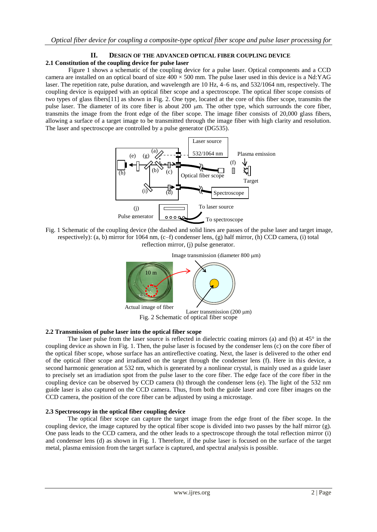## **II. DESIGN OF THE ADVANCED OPTICAL FIBER COUPLING DEVICE 2.1 Constitution of the coupling device for pulse laser**

Figure 1 shows a schematic of the coupling device for a pulse laser. Optical components and a CCD camera are installed on an optical board of size 400 × 500 mm. The pulse laser used in this device is a Nd:YAG laser. The repetition rate, pulse duration, and wavelength are 10 Hz, 4–6 ns, and 532/1064 nm, respectively. The coupling device is equipped with an optical fiber scope and a spectroscope. The optical fiber scope consists of two types of glass fibers[11] as shown in Fig. 2. One type, located at the core of this fiber scope, transmits the pulse laser. The diameter of its core fiber is about 200  $\mu$ m. The other type, which surrounds the core fiber, transmits the image from the front edge of the fiber scope. The image fiber consists of 20,000 glass fibers, allowing a surface of a target image to be transmitted through the image fiber with high clarity and resolution. The laser and spectroscope are controlled by a pulse generator (DG535).



Fig. 1 Schematic of the coupling device (the dashed and solid lines are passes of the pulse laser and target image, respectively): (a, b) mirror for 1064 nm, (c–f) condenser lens, (g) half mirror, (h) CCD camera, (i) total reflection mirror, (j) pulse generator.



## **2.2 Transmission of pulse laser into the optical fiber scope**

The laser pulse from the laser source is reflected in dielectric coating mirrors (a) and (b) at  $45^{\circ}$  in the coupling device as shown in Fig. 1. Then, the pulse laser is focused by the condenser lens (c) on the core fiber of the optical fiber scope, whose surface has an antireflective coating. Next, the laser is delivered to the other end of the optical fiber scope and irradiated on the target through the condenser lens (f). Here in this device, a second harmonic generation at 532 nm, which is generated by a nonlinear crystal, is mainly used as a guide laser to precisely set an irradiation spot from the pulse laser to the core fiber. The edge face of the core fiber in the coupling device can be observed by CCD camera (h) through the condenser lens (e). The light of the 532 nm guide laser is also captured on the CCD camera. Thus, from both the guide laser and core fiber images on the CCD camera, the position of the core fiber can be adjusted by using a microstage.

## **2.3 Spectroscopy in the optical fiber coupling device**

The optical fiber scope can capture the target image from the edge front of the fiber scope. In the coupling device, the image captured by the optical fiber scope is divided into two passes by the half mirror (g). One pass leads to the CCD camera, and the other leads to a spectroscope through the total reflection mirror (i) and condenser lens (d) as shown in Fig. 1. Therefore, if the pulse laser is focused on the surface of the target metal, plasma emission from the target surface is captured, and spectral analysis is possible.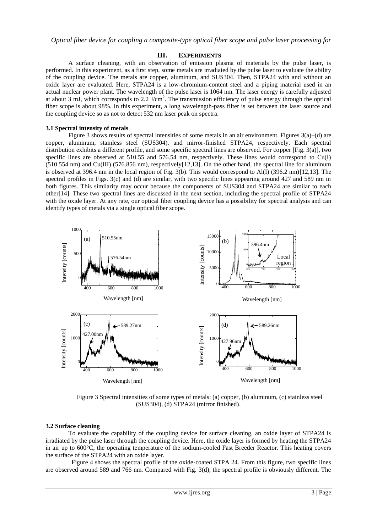## **III. EXPERIMENTS**

A surface cleaning, with an observation of emission plasma of materials by the pulse laser, is performed. In this experiment, as a first step, some metals are irradiated by the pulse laser to evaluate the ability of the coupling device. The metals are copper, aluminum, and SUS304. Then, STPA24 with and without an oxide layer are evaluated. Here, STPA24 is a low-chromium-content steel and a piping material used in an actual nuclear power plant. The wavelength of the pulse laser is 1064 nm. The laser energy is carefully adjusted at about 3 mJ, which corresponds to  $2.2 \text{ J/cm}^2$ . The transmission efficiency of pulse energy through the optical fiber scope is about 98%. In this experiment, a long wavelength-pass filter is set between the laser source and the coupling device so as not to detect 532 nm laser peak on spectra.

## **3.1 Spectral intensity of metals**

Figure 3 shows results of spectral intensities of some metals in an air environment. Figures 3(a)–(d) are copper, aluminum, stainless steel (SUS304), and mirror-finished STPA24, respectively. Each spectral distribution exhibits a different profile, and some specific spectral lines are observed. For copper [Fig. 3(a)], two specific lines are observed at 510.55 and 576.54 nm, respectively. These lines would correspond to Cu(I) (510.554 nm) and Cu(III) (576.856 nm), respectively[12,13]. On the other hand, the spectral line for aluminum is observed at 396.4 nm in the local region of Fig. 3(b). This would correspond to Al(I) (396.2 nm)[12,13]. The spectral profiles in Figs. 3(c) and (d) are similar, with two specific lines appearing around 427 and 589 nm in both figures. This similarity may occur because the components of SUS304 and STPA24 are similar to each other[14]. These two spectral lines are discussed in the next section, including the spectral profile of STPA24 with the oxide layer. At any rate, our optical fiber coupling device has a possibility for spectral analysis and can identify types of metals via a single optical fiber scope.



Figure 3 Spectral intensities of some types of metals: (a) copper, (b) aluminum, (c) stainless steel (SUS304), (d) STPA24 (mirror finished).

## **3.2 Surface cleaning**

To evaluate the capability of the coupling device for surface cleaning, an oxide layer of STPA24 is irradiated by the pulse laser through the coupling device. Here, the oxide layer is formed by heating the STPA24 in air up to 600°C, the operating temperature of the sodium-cooled Fast Breeder Reactor. This heating covers the surface of the STPA24 with an oxide layer.

 Figure 4 shows the spectral profile of the oxide-coated STPA 24. From this figure, two specific lines are observed around 589 and 766 nm. Compared with Fig. 3(d), the spectral profile is obviously different. The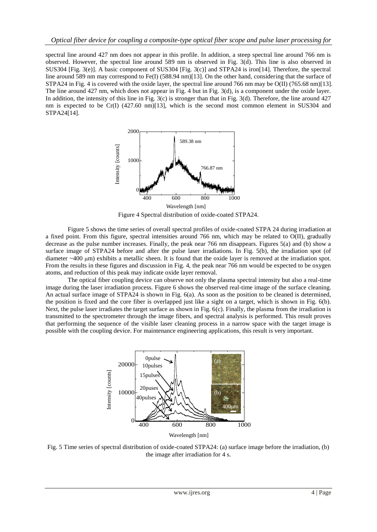spectral line around 427 nm does not appear in this profile. In addition, a steep spectral line around 766 nm is observed. However, the spectral line around 589 nm is observed in Fig. 3(d). This line is also observed in SUS304 [Fig. 3(e)]. A basic component of SUS304 [Fig. 3(c)] and STPA24 is iron[14]. Therefore, the spectral line around 589 nm may correspond to Fe(I) (588.94 nm)[13]. On the other hand, considering that the surface of STPA24 in Fig. 4 is covered with the oxide layer, the spectral line around 766 nm may be O(II) (765.68 nm)[13]. The line around 427 nm, which does not appear in Fig. 4 but in Fig. 3(d), is a component under the oxide layer. In addition, the intensity of this line in Fig. 3(c) is stronger than that in Fig. 3(d). Therefore, the line around 427 nm is expected to be Cr(I) (427.60 nm)[13], which is the second most common element in SUS304 and STPA24[14].



Figure 4 Spectral distribution of oxide-coated STPA24.

Figure 5 shows the time series of overall spectral profiles of oxide-coated STPA 24 during irradiation at a fixed point. From this figure, spectral intensities around 766 nm, which may be related to O(II), gradually decrease as the pulse number increases. Finally, the peak near 766 nm disappears. Figures 5(a) and (b) show a surface image of STPA24 before and after the pulse laser irradiations. In Fig. 5(b), the irradiation spot (of diameter  $~400 \mu$ m) exhibits a metallic sheen. It is found that the oxide layer is removed at the irradiation spot. From the results in these figures and discussion in Fig. 4, the peak near 766 nm would be expected to be oxygen atoms, and reduction of this peak may indicate oxide layer removal.

The optical fiber coupling device can observe not only the plasma spectral intensity but also a real-time image during the laser irradiation process. Figure 6 shows the observed real-time image of the surface cleaning. An actual surface image of STPA24 is shown in Fig. 6(a). As soon as the position to be cleaned is determined, the position is fixed and the core fiber is overlapped just like a sight on a target, which is shown in Fig. 6(b). Next, the pulse laser irradiates the target surface as shown in Fig. 6(c). Finally, the plasma from the irradiation is transmitted to the spectrometer through the image fibers, and spectral analysis is performed. This result proves that performing the sequence of the visible laser cleaning process in a narrow space with the target image is possible with the coupling device. For maintenance engineering applications, this result is very important.



Fig. 5 Time series of spectral distribution of oxide-coated STPA24: (a) surface image before the irradiation, (b) the image after irradiation for 4 s.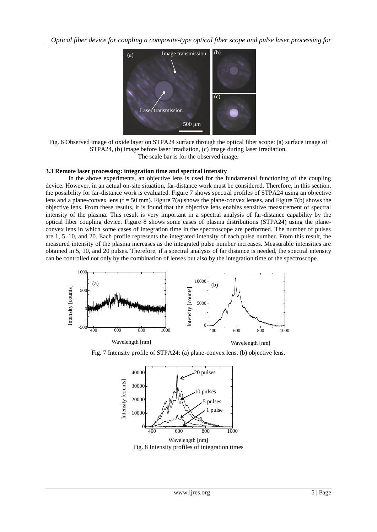*Optical fiber device for coupling a composite-type optical fiber scope and pulse laser processing for* 



Fig. 6 Observed image of oxide layer on STPA24 surface through the optical fiber scope: (a) surface image of STPA24, (b) image before laser irradiation, (c) image during laser irradiation. The scale bar is for the observed image.

## **3.3 Remote laser processing: integration time and spectral intensity**

Wavelength [nm]

In the above experiments, an objective lens is used for the fundamental functioning of the coupling device. However, in an actual on-site situation, far-distance work must be considered. Therefore, in this section, the possibility for far-distance work is evaluated. Figure 7 shows spectral profiles of STPA24 using an objective lens and a plane-convex lens  $(f = 50 \text{ mm})$ . Figure 7(a) shows the plane-convex lenses, and Figure 7(b) shows the objective lens. From these results, it is found that the objective lens enables sensitive measurement of spectral intensity of the plasma. This result is very important in a spectral analysis of far-distance capability by the optical fiber coupling device. Figure 8 shows some cases of plasma distributions (STPA24) using the planeconvex lens in which some cases of integration time in the spectroscope are performed. The number of pulses are 1, 5, 10, and 20. Each profile represents the integrated intensity of each pulse number. From this result, the measured intensity of the plasma increases as the integrated pulse number increases. Measurable intensities are obtained in 5, 10, and 20 pulses. Therefore, if a spectral analysis of far distance is needed, the spectral intensity can be controlled not only by the combination of lenses but also by the integration time of the spectroscope.



Wavelength [nm]

Fig. 7 Intensity profile of STPA24: (a) plane-convex lens, (b) objective lens.



Fig. 8 Intensity profiles of integration times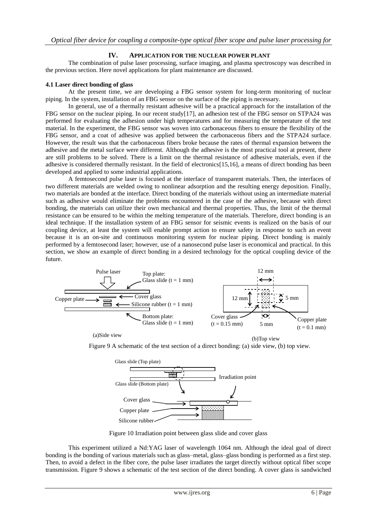## **IV. APPLICATION FOR THE NUCLEAR POWER PLANT**

The combination of pulse laser processing, surface imaging, and plasma spectroscopy was described in the previous section. Here novel applications for plant maintenance are discussed.

#### **4.1 Laser direct bonding of glass**

At the present time, we are developing a FBG sensor system for long-term monitoring of nuclear piping. In the system, installation of an FBG sensor on the surface of the piping is necessary.

In general, use of a thermally resistant adhesive will be a practical approach for the installation of the FBG sensor on the nuclear piping. In our recent study[17], an adhesion test of the FBG sensor on STPA24 was performed for evaluating the adhesion under high temperatures and for measuring the temperature of the test material. In the experiment, the FBG sensor was woven into carbonaceous fibers to ensure the flexibility of the FBG sensor, and a coat of adhesive was applied between the carbonaceous fibers and the STPA24 surface. However, the result was that the carbonaceous fibers broke because the rates of thermal expansion between the adhesive and the metal surface were different. Although the adhesive is the most practical tool at present, there are still problems to be solved. There is a limit on the thermal resistance of adhesive materials, even if the adhesive is considered thermally resistant. In the field of electronics[15,16], a means of direct bonding has been developed and applied to some industrial applications.

A femtosecond pulse laser is focused at the interface of transparent materials. Then, the interfaces of two different materials are welded owing to nonlinear adsorption and the resulting energy deposition. Finally, two materials are bonded at the interface. Direct bonding of the materials without using an intermediate material such as adhesive would eliminate the problems encountered in the case of the adhesive, because with direct bonding, the materials can utilize their own mechanical and thermal properties. Thus, the limit of the thermal resistance can be ensured to be within the melting temperature of the materials. Therefore, direct bonding is an ideal technique. If the installation system of an FBG sensor for seismic events is realized on the basis of our coupling device, at least the system will enable prompt action to ensure safety in response to such an event because it is an on-site and continuous monitoring system for nuclear piping. Direct bonding is mainly performed by a femtosecond laser; however, use of a nanosecond pulse laser is economical and practical. In this section, we show an example of direct bonding in a desired technology for the optical coupling device of the future.



(a)Side view

(b)Top view

Figure 9 A schematic of the test section of a direct bonding: (a) side view, (b) top view.



Figure 10 Irradiation point between glass slide and cover glass

This experiment utilized a Nd:YAG laser of wavelength 1064 nm. Although the ideal goal of direct bonding is the bonding of various materials such as glass–metal, glass–glass bonding is performed as a first step. Then, to avoid a defect in the fiber core, the pulse laser irradiates the target directly without optical fiber scope transmission. Figure 9 shows a schematic of the test section of the direct bonding. A cover glass is sandwiched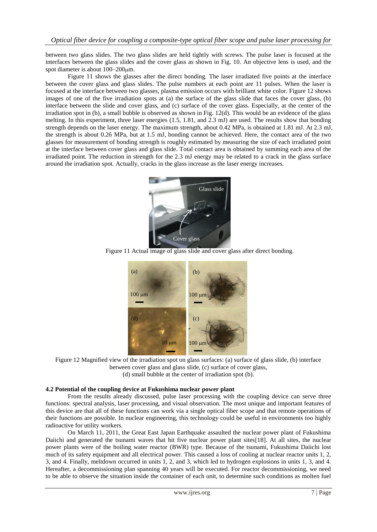between two glass slides. The two glass slides are held tightly with screws. The pulse laser is focused at the interfaces between the glass slides and the cover glass as shown in Fig. 10. An objective lens is used, and the spot diameter is about  $100-200 \mu m$ .

Figure 11 shows the glasses after the direct bonding. The laser irradiated five points at the interface between the cover glass and glass slides. The pulse numbers at each point are 11 pulses. When the laser is focused at the interface between two glasses, plasma emission occurs with brilliant white color. Figure 12 shows images of one of the five irradiation spots at (a) the surface of the glass slide that faces the cover glass, (b) interface between the slide and cover glass, and (c) surface of the cover glass. Especially, at the center of the irradiation spot in (b), a small bubble is observed as shown in Fig. 12(d). This would be an evidence of the glass melting. In this experiment, three laser energies (1.5, 1.81, and 2.3 mJ) are used. The results show that bonding strength depends on the laser energy. The maximum strength, about 0.42 MPa, is obtained at 1.81 mJ. At 2.3 mJ, the strength is about 0.26 MPa, but at 1.5 mJ, bonding cannot be achieved. Here, the contact area of the two glasses for measurement of bonding strength is roughly estimated by measuring the size of each irradiated point at the interface between cover glass and glass slide. Total contact area is obtained by summing each area of the irradiated point. The reduction in strength for the 2.3 mJ energy may be related to a crack in the glass surface around the irradiation spot. Actually, cracks in the glass increase as the laser energy increases.



Figure 11 Actual image of glass slide and cover glass after direct bonding.



Figure 12 Magnified view of the irradiation spot on glass surfaces: (a) surface of glass slide, (b) interface between cover glass and glass slide, (c) surface of cover glass, (d) small bubble at the center of irradiation spot (b).

## **4.2 Potential of the coupling device at Fukushima nuclear power plant**

From the results already discussed, pulse laser processing with the coupling device can serve three functions: spectral analysis, laser processing, and visual observation. The most unique and important features of this device are that all of these functions can work via a single optical fiber scope and that remote operations of their functions are possible. In nuclear engineering, this technology could be useful in environments too highly radioactive for utility workers.

On March 11, 2011, the Great East Japan Earthquake assaulted the nuclear power plant of Fukushima Daiichi and generated the tsunami waves that hit five nuclear power plant sites[18]. At all sites, the nuclear power plants were of the boiling water reactor (BWR) type. Because of the tsunami, Fukushima Daiichi lost much of its safety equipment and all electrical power. This caused a loss of cooling at nuclear reactor units 1, 2, 3, and 4. Finally, meltdown occurred in units 1, 2, and 3, which led to hydrogen explosions in units 1, 3, and 4. Hereafter, a decommissioning plan spanning 40 years will be executed. For reactor decommissioning, we need to be able to observe the situation inside the container of each unit, to determine such conditions as molten fuel